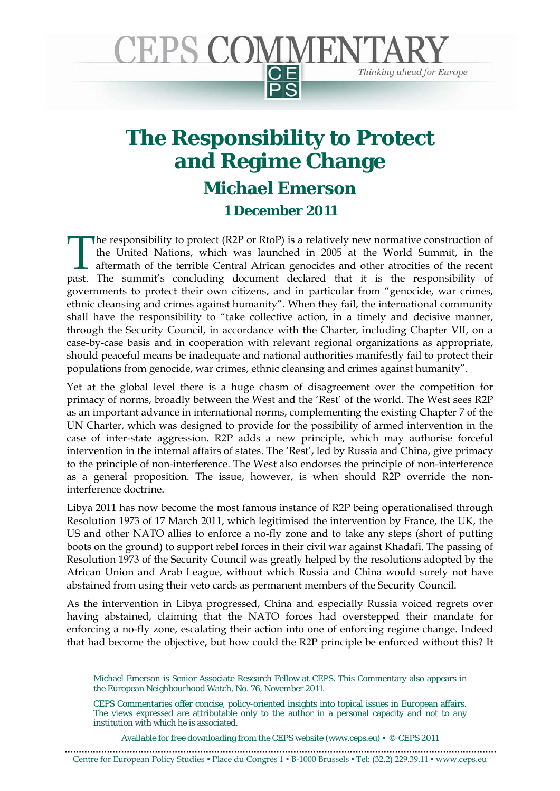

## **The Responsibility to Protect and Regime Change Michael Emerson 1 December 2011**

he responsibility to protect (R2P or RtoP) is a relatively new normative construction of the United Nations, which was launched in 2005 at the World Summit, in the aftermath of the terrible Central African genocides and other atrocities of the recent The responsibility to protect (R2P or RtoP) is a relatively new normative construction of the United Nations, which was launched in 2005 at the World Summit, in the aftermath of the terrible Central African genocides and o governments to protect their own citizens, and in particular from "genocide, war crimes, ethnic cleansing and crimes against humanity". When they fail, the international community shall have the responsibility to "take collective action, in a timely and decisive manner, through the Security Council, in accordance with the Charter, including Chapter VII, on a case-by-case basis and in cooperation with relevant regional organizations as appropriate, should peaceful means be inadequate and national authorities manifestly fail to protect their populations from genocide, war crimes, ethnic cleansing and crimes against humanity".

Yet at the global level there is a huge chasm of disagreement over the competition for primacy of norms, broadly between the West and the 'Rest' of the world. The West sees R2P as an important advance in international norms, complementing the existing Chapter 7 of the UN Charter, which was designed to provide for the possibility of armed intervention in the case of inter-state aggression. R2P adds a new principle, which may authorise forceful intervention in the internal affairs of states. The 'Rest', led by Russia and China, give primacy to the principle of non-interference. The West also endorses the principle of non-interference as a general proposition. The issue, however, is when should R2P override the noninterference doctrine.

Libya 2011 has now become the most famous instance of R2P being operationalised through Resolution 1973 of 17 March 2011, which legitimised the intervention by France, the UK, the US and other NATO allies to enforce a no-fly zone and to take any steps (short of putting boots on the ground) to support rebel forces in their civil war against Khadafi. The passing of Resolution 1973 of the Security Council was greatly helped by the resolutions adopted by the African Union and Arab League, without which Russia and China would surely not have abstained from using their veto cards as permanent members of the Security Council.

As the intervention in Libya progressed, China and especially Russia voiced regrets over having abstained, claiming that the NATO forces had overstepped their mandate for enforcing a no-fly zone, escalating their action into one of enforcing regime change. Indeed that had become the objective, but how could the R2P principle be enforced without this? It

Available for free downloading from the CEPS website (www.ceps.eu)  $\cdot \circ$  CEPS 2011

Centre for European Policy Studies ▪ Place du Congrès 1 ▪ B-1000 Brussels ▪ Tel: (32.2) 229.39.11 ▪ www.ceps.eu

Michael Emerson is Senior Associate Research Fellow at CEPS. This Commentary also appears in the European Neighbourhood Watch, No. 76, November 2011.

CEPS Commentaries offer concise, policy-oriented insights into topical issues in European affairs. The views expressed are attributable only to the author in a personal capacity and not to any institution with which he is associated.